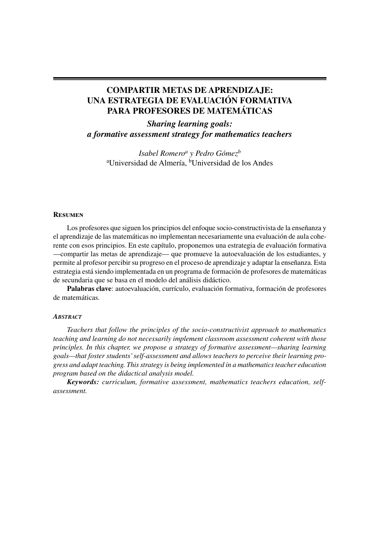# **COMPARTIR METAS DE APRENDIZAJE: UNA ESTRATEGIA DE EVALUACIÓN FORMATIVA PARA PROFESORES DE MATEMÁTICAS**

## *Sharing learning goals: a formative assessment strategy for mathematics teachers*

*Isabel Romeroa y Pedro Gómezb* <sup>a</sup>Universidad de Almería, <sup>b</sup>Universidad de los Andes

#### **Resumen**

Los profesores que siguen los principios del enfoque socio-constructivista de la enseñanza y el aprendizaje de las matemáticas no implementan necesariamente una evaluación de aula coherente con esos principios. En este capítulo, proponemos una estrategia de evaluación formativa —compartir las metas de aprendizaje— que promueve la autoevaluación de los estudiantes, y permite al profesor percibir su progreso en el proceso de aprendizaje y adaptar la enseñanza. Esta estrategia está siendo implementada en un programa de formación de profesores de matemáticas de secundaria que se basa en el modelo del análisis didáctico.

Palabras clave: autoevaluación, currículo, evaluación formativa, formación de profesores de matemáticas.

### *ABSTRACT*

*Teachers that follow the principles of the socio-constructivist approach to mathematics teaching and learning do not necessarily implement classroom assessment coherent with those principles. In this chapter, we propose a strategy of formative assessment—sharing learning goals—that foster students' self-assessment and allows teachers to perceive their learning progress and adapt teaching. This strategy is being implemented in a mathematics teacher education program based on the didactical analysis model.*

*Keywords: curriculum, formative assessment, mathematics teachers education, selfassessment.*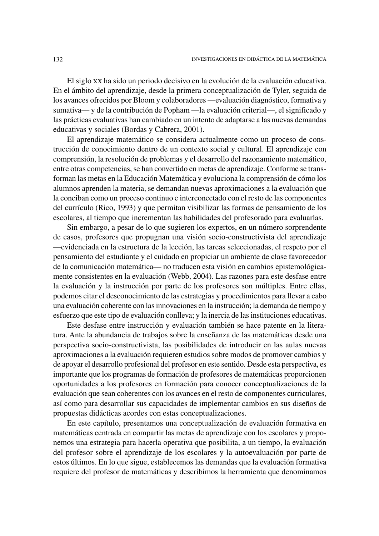El siglo xx ha sido un periodo decisivo en la evolución de la evaluación educativa. En el ámbito del aprendizaje, desde la primera conceptualización de Tyler, seguida de los avances ofrecidos por Bloom y colaboradores —evaluación diagnóstico, formativa y sumativa— y de la contribución de Popham — la evaluación criterial—, el significado y las prácticas evaluativas han cambiado en un intento de adaptarse a las nuevas demandas educativas y sociales (Bordas y Cabrera, 2001).

El aprendizaje matemático se considera actualmente como un proceso de cons trucción de conocimiento dentro de un contexto social y cultural. El aprendizaje con comprensión, la resolución de problemas y el desarrollo del razonamiento matemático, entre otras competencias, se han convertido en metas de aprendizaje. Conforme se trans forman las metas en la Educación Matemática y evoluciona la comprensión de cómo los alumnos aprenden la materia, se demandan nuevas aproximaciones a la evaluación que la conciban como un proceso continuo e interconectado con el resto de las componentes del currículo (Rico, 1993) y que permitan visibilizar las formas de pensamiento de los escolares, al tiempo que incrementan las habilidades del profesorado para evaluarlas.

Sin embargo, a pesar de lo que sugieren los expertos, en un número sorprendente de casos, profesores que propugnan una visión socio-constructivista del aprendizaje —evidenciada en la estructura de la lección, las tareas seleccionadas, el respeto por el pensamiento del estudiante y el cuidado en propiciar un ambiente de clase favorecedor de la comunicación matemática— no traducen esta visión en cambios epistemológicamente consistentes en la evaluación (Webb, 2004). Las razones para este desfase entre la evaluación y la instrucción por parte de los profesores son múltiples. Entre ellas, podemos citar el desconocimiento de las estrategias y procedimientos para llevar a cabo una evaluación coherente con las innovaciones en la instrucción; la demanda de tiempo y esfuerzo que este tipo de evaluación conlleva; y la inercia de las instituciones educativas.

Este desfase entre instrucción y evaluación también se hace patente en la literatura. Ante la abundancia de trabajos sobre la enseñanza de las matemáticas desde una perspectiva socio-constructivista, las posibilidades de introducir en las aulas nuevas aproximaciones a la evaluación requieren estudios sobre modos de promover cambios y de apoyar el desarrollo profesional del profesor en este sentido. Desde esta perspectiva, es importante que los programas de formación de profesores de matemáticas proporcionen oportunidades a los profesores en formación para conocer conceptualizaciones de la evaluación que sean coherentes con los avances en el resto de componentes curriculares, así como para desarrollar sus capacidades de implementar cambios en sus diseños de propuestas didácticas acordes con estas conceptualizaciones.

En este capítulo, presentamos una conceptualización de evaluación formativa en matemáticas centrada en compartir las metas de aprendizaje con los escolares y proponemos una estrategia para hacerla operativa que posibilita, a un tiempo, la evaluación del profesor sobre el aprendizaje de los escolares y la autoevaluación por parte de estos últimos. En lo que sigue, establecemos las demandas que la evaluación formativa requiere del profesor de matemáticas y describimos la herramienta que denominamos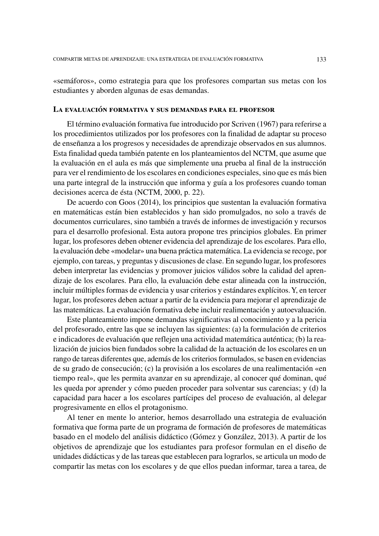«semáforos», como estrategia para que los profesores compartan sus metas con los estudiantes y aborden algunas de esas demandas.

#### **La evaluación formativa y sus demandas para el profesor**

El término evaluación formativa fue introducido por Scriven (1967) para referirse a los procedimientos utilizados por los profesores con la finalidad de adaptar su proceso de enseñanza a los progresos y necesidades de aprendizaje observados en sus alumnos. Esta finalidad queda también patente en los planteamientos del NCTM, que asume que la evaluación en el aula es más que simplemente una prueba al final de la instrucción para ver el rendimiento de los escolares en condiciones especiales, sino que es más bien una parte integral de la instrucción que informa y guía a los profesores cuando toman decisiones acerca de ésta (NCTM, 2000, p. 22).

De acuerdo con Goos (2014), los principios que sustentan la evaluación formativa en matemáticas están bien establecidos y han sido promulgados, no solo a través de documentos curriculares, sino también a través de informes de investigación y recursos para el desarrollo profesional. Esta autora propone tres principios globales. En primer lugar, los profesores deben obtener evidencia del aprendizaje de los escolares. Para ello, la evaluación debe «modelar» una buena práctica matemática. La evidencia se recoge, por ejemplo, con tareas, y preguntas y discusiones de clase. En segundo lugar, los profesores deben interpretar las evidencias y promover juicios válidos sobre la calidad del aprendizaje de los escolares. Para ello, la evaluación debe estar alineada con la instrucción, incluir múltiples formas de evidencia y usar criterios y estándares explícitos. Y, en tercer lugar, los profesores deben actuar a partir de la evidencia para mejorar el aprendizaje de las matemáticas. La evaluación formativa debe incluir realimentación y autoevaluación.

Este planteamiento impone demandas significativas al conocimiento y a la pericia del profesorado, entre las que se incluyen las siguientes: (a) la formulación de criterios e indicadores de evaluación que reflejen una actividad matemática auténtica; (b) la realización de juicios bien fundados sobre la calidad de la actuación de los escolares en un rango de tareas diferentes que, además de los criterios formulados, se basen en evidencias de su grado de consecución; (c) la provisión a los escolares de una realimentación «en tiempo real», que les permita avanzar en su aprendizaje, al conocer qué dominan, qué les queda por aprender y cómo pueden proceder para solventar sus carencias; y (d) la capacidad para hacer a los escolares partícipes del proceso de evaluación, al delegar progresivamente en ellos el protagonismo.

Al tener en mente lo anterior, hemos desarrollado una estrategia de evaluación formativa que forma parte de un programa de formación de profesores de matemáticas basado en el modelo del análisis didáctico (Gómez y González, 2013). A partir de los objetivos de aprendizaje que los estudiantes para profesor formulan en el diseño de unidades didácticas y de las tareas que establecen para lograrlos, se articula un modo de compartir las metas con los escolares y de que ellos puedan informar, tarea a tarea, de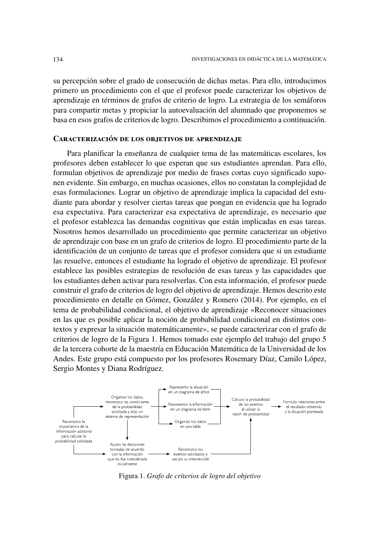su percepción sobre el grado de consecución de dichas metas. Para ello, introducimos primero un procedimiento con el que el profesor puede caracterizar los objetivos de aprendizaje en términos de grafos de criterio de logro. La estrategia de los semáforos para compartir metas y propiciar la autoevaluación del alumnado que proponemos se basa en esos grafos de criterios de logro. Describimos el procedimiento a continuación.

#### **Caracterización de los objetivos de aprendizaje**

Para planificar la enseñanza de cualquier tema de las matemáticas escolares, los profesores deben establecer lo que esperan que sus estudiantes aprendan. Para ello, formulan objetivos de aprendizaje por medio de frases cortas cuyo significado suponen evidente. Sin embargo, en muchas ocasiones, ellos no constatan la complejidad de esas formulaciones. Lograr un objetivo de aprendizaje implica la capacidad del estudiante para abordar y resolver ciertas tareas que pongan en evidencia que ha logrado esa expectativa. Para caracterizar esa expectativa de aprendizaje, es necesario que el profesor establezca las demandas cognitivas que están implicadas en esas tareas. Nosotros hemos desarrollado un procedimiento que permite caracterizar un objetivo de aprendizaje con base en un grafo de criterios de logro. El procedimiento parte de la identificación de un conjunto de tareas que el profesor considera que si un estudiante las resuelve, entonces el estudiante ha logrado el objetivo de aprendizaje. El profesor establece las posibles estrategias de resolución de esas tareas y las capacidades que los estudiantes deben activar para resolverlas. Con esta información, el profesor puede construir el grafo de criterios de logro del objetivo de aprendizaje. Hemos descrito este procedimiento en detalle en Gómez, González y Romero (2014). Por ejemplo, en el tema de probabilidad condicional, el objetivo de aprendizaje «Reconocer situaciones en las que es posible aplicar la noción de probabilidad condicional en distintos contextos y expresar la situación matemáticamente», se puede caracterizar con el grafo de criterios de logro de la Figura 1. Hemos tomado este ejemplo del trabajo del grupo 5 de la tercera cohorte de la maestría en Educación Matemática de la Universidad de los Andes. Este grupo está compuesto por los profesores Rosemary Díaz, Camilo López, Sergio Montes y Diana Rodríguez.



Figura 1. *Grafo de criterios de logro del objetivo*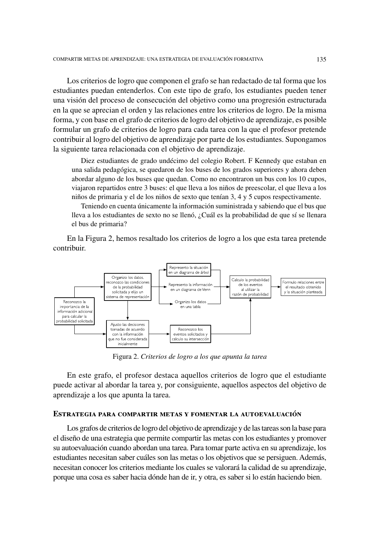Los criterios de logro que componen el grafo se han redactado de tal forma que los estudiantes puedan entenderlos. Con este tipo de grafo, los estudiantes pueden tener una visión del proceso de consecución del objetivo como una progresión estructurada en la que se aprecian el orden y las relaciones entre los criterios de logro. De la misma forma, y con base en el grafo de criterios de logro del objetivo de aprendizaje, es posible formular un grafo de criterios de logro para cada tarea con la que el profesor pretende contribuir al logro del objetivo de aprendizaje por parte de los estudiantes. Supongamos la siguiente tarea relacionada con el objetivo de aprendizaje.

Diez estudiantes de grado undécimo del colegio Robert. F Kennedy que estaban en una salida pedagógica, se quedaron de los buses de los grados superiores y ahora deben abordar alguno de los buses que quedan. Como no encontraron un bus con los 10 cupos, viajaron repartidos entre 3 buses: el que lleva a los niños de preescolar, el que lleva a los niños de primaria y el de los niños de sexto que tenían 3, 4 y 5 cupos respectivamente.

Teniendo en cuenta únicamente la información suministrada y sabiendo que el bus que lleva a los estudiantes de sexto no se llenó, ¿Cuál es la probabilidad de que sí se llenara el bus de primaria?

En la Figura 2, hemos resaltado los criterios de logro a los que esta tarea pretende contribuir.



Figura 2. Criterios de logro a los que apunta la tarea

En este grafo, el profesor destaca aquellos criterios de logro que el estudiante puede activar al abordar la tarea y, por consiguiente, aquellos aspectos del objetivo de aprendizaje a los que apunta la tarea.

#### ESTRATEGIA PARA COMPARTIR METAS Y FOMENTAR LA AUTOEVALUACIÓN

Los grafos de criterios de logro del objetivo de aprendizaje y de las tareas son la base para el diseño de una estrategia que permite compartir las metas con los estudiantes y promover su autoevaluación cuando abordan una tarea. Para tomar parte activa en su aprendizaje, los estudiantes necesitan saber cuáles son las metas o los objetivos que se persiguen. Además, necesitan conocer los criterios mediante los cuales se valorará la calidad de su aprendizaje, porque una cosa es saber hacia dónde han de ir, y otra, es saber si lo están haciendo bien.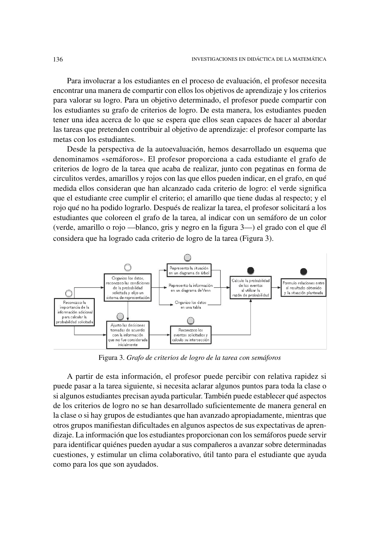Para involucrar a los estudiantes en el proceso de evaluación, el profesor necesita encontrar una manera de compartir con ellos los objetivos de aprendizaje y los criterios para valorar su logro. Para un objetivo determinado, el profesor puede compartir con los estudiantes su grafo de criterios de logro. De esta manera, los estudiantes pueden tener una idea acerca de lo que se espera que ellos sean capaces de hacer al abordar las tareas que pretenden contribuir al objetivo de aprendizaje: el profesor comparte las metas con los estudiantes.

Desde la perspectiva de la autoevaluación, hemos desarrollado un esquema que denominamos «semáforos». El profesor proporciona a cada estudiante el grafo de criterios de logro de la tarea que acaba de realizar, junto con pegatinas en forma de circulitos verdes, amarillos y rojos con las que ellos pueden indicar, en el grafo, en qué medida ellos consideran que han alcanzado cada criterio de logro: el verde significa que el estudiante cree cumplir el criterio; el amarillo que tiene dudas al respecto; y el rojo qué no ha podido lograrlo. Después de realizar la tarea, el profesor solicitará a los estudiantes que coloreen el grafo de la tarea, al indicar con un semáforo de un color (verde, amarillo o rojo —blanco, gris y negro en la figura  $3$ —) el grado con el que él considera que ha logrado cada criterio de logro de la tarea (Figura 3).



Figura 3. *Grafo de criterios de logro de la tarea con semáforos*

A partir de esta información, el profesor puede percibir con relativa rapidez si puede pasar a la tarea siguiente, si necesita aclarar algunos puntos para toda la clase o si algunos estudiantes precisan ayuda particular. También puede establecer qué aspectos de los criterios de logro no se han desarrollado suficientemente de manera general en la clase o si hay grupos de estudiantes que han avanzado apropiadamente, mientras que otros grupos manifiestan dificultades en algunos aspectos de sus expectativas de aprendizaje. La información que los estudiantes proporcionan con los semáforos puede servir para identificar quiénes pueden ayudar a sus compañeros a avanzar sobre determinadas cuestiones, y estimular un clima colaborativo, útil tanto para el estudiante que ayuda como para los que son ayudados.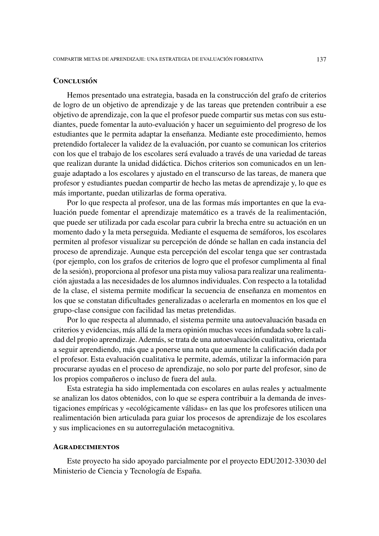## **Conclusión**

Hemos presentado una estrategia, basada en la construcción del grafo de criterios de logro de un objetivo de aprendizaje y de las tareas que pretenden contribuir a ese objetivo de aprendizaje, con la que el profesor puede compartir sus metas con sus estudiantes, puede fomentar la auto-evaluación y hacer un seguimiento del progreso de los estudiantes que le permita adaptar la enseñanza. Mediante este procedimiento, hemos pretendido fortalecer la validez de la evaluación, por cuanto se comunican los criterios con los que el trabajo de los escolares será evaluado a través de una variedad de tareas que realizan durante la unidad didáctica. Dichos criterios son comunicados en un len guaje adaptado a los escolares y ajustado en el transcurso de las tareas, de manera que profesor y estudiantes puedan compartir de hecho las metas de aprendizaje y, lo que es más importante, puedan utilizarlas de forma operativa.

Por lo que respecta al profesor, una de las formas más importantes en que la eva luación puede fomentar el aprendizaje matemático es a través de la realimentación, que puede ser utilizada por cada escolar para cubrir la brecha entre su actuación en un momento dado y la meta perseguida. Mediante el esquema de semáforos, los escolares permiten al profesor visualizar su percepción de dónde se hallan en cada instancia del proceso de aprendizaje. Aunque esta percepción del escolar tenga que ser contrastada (por ejemplo, con los grafos de criterios de logro que el profesor cumplimenta al final de la sesión), proporciona al profesor una pista muy valiosa para realizar una realimentación ajustada a las necesidades de los alumnos individuales. Con respecto a la totalidad de la clase, el sistema permite modificar la secuencia de enseñanza en momentos en los que se constatan dificultades generalizadas o acelerarla en momentos en los que el grupo-clase consigue con facilidad las metas pretendidas.

Por lo que respecta al alumnado, el sistema permite una autoevaluación basada en criterios y evidencias, más allá de la mera opinión muchas veces infundada sobre la calidad del propio aprendizaje. Además, se trata de una autoevaluación cualitativa, orientada a seguir aprendiendo, más que a ponerse una nota que aumente la calificación dada por el profesor. Esta evaluación cualitativa le permite, además, utilizar la información para procurarse ayudas en el proceso de aprendizaje, no solo por parte del profesor, sino de los propios compañeros o incluso de fuera del aula.

Esta estrategia ha sido implementada con escolares en aulas reales y actualmente se analizan los datos obtenidos, con lo que se espera contribuir a la demanda de investigaciones empíricas y «ecológicamente válidas» en las que los profesores utilicen una realimentación bien articulada para guiar los procesos de aprendizaje de los escolares y sus implicaciones en su autorregulación metacognitiva.

#### **Agradecimientos**

Este proyecto ha sido apoyado parcialmente por el proyecto EDU2012-33030 del Ministerio de Ciencia y Tecnología de España.